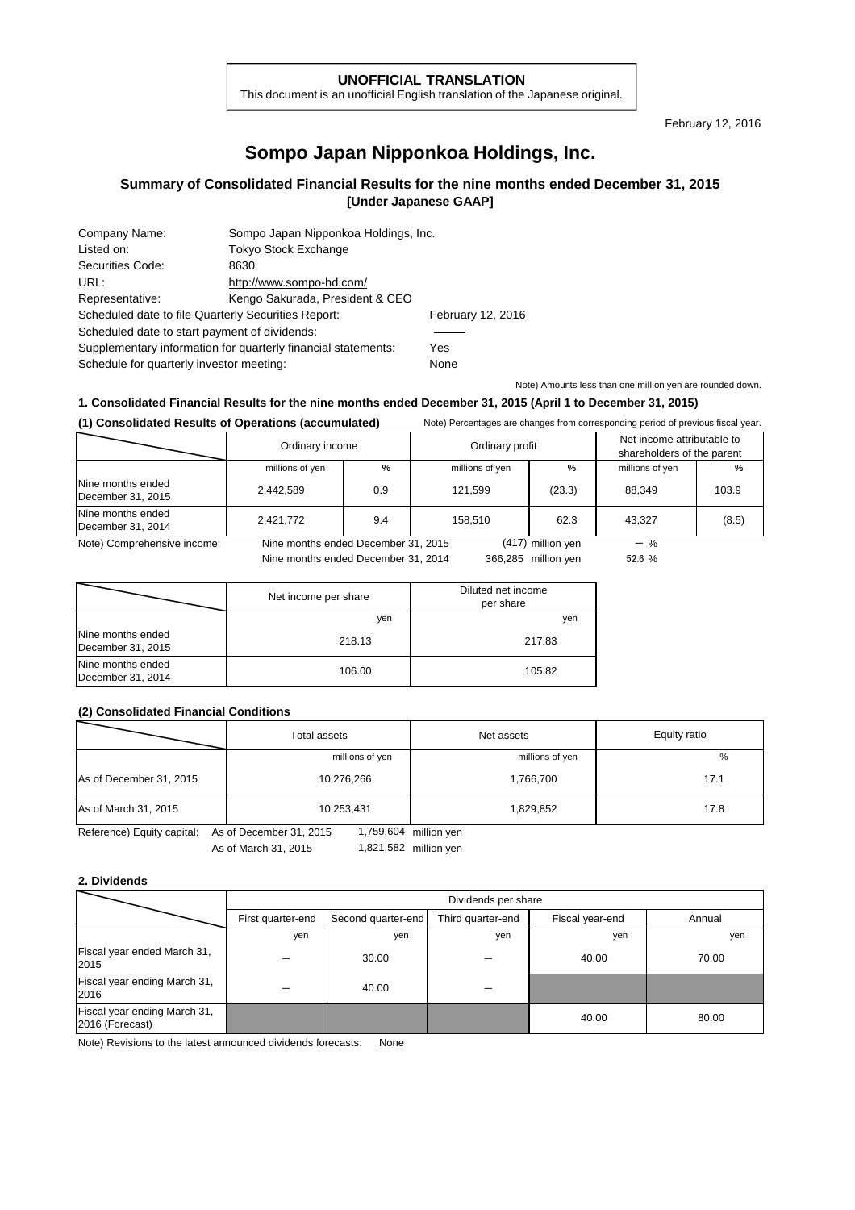#### **UNOFFICIAL TRANSLATION**

This document is an unofficial English translation of the Japanese original.

February 12, 2016

# **Sompo Japan Nipponkoa Holdings, Inc.**

## **Summary of Consolidated Financial Results for the nine months ended December 31, 2015 [Under Japanese GAAP]**

| Company Name:                                                 | Sompo Japan Nipponkoa Holdings, Inc. |      |  |
|---------------------------------------------------------------|--------------------------------------|------|--|
| Listed on:                                                    | <b>Tokyo Stock Exchange</b>          |      |  |
| Securities Code:                                              | 8630                                 |      |  |
| URL:                                                          | http://www.sompo-hd.com/             |      |  |
| Representative:                                               | Kengo Sakurada, President & CEO      |      |  |
| Scheduled date to file Quarterly Securities Report:           | February 12, 2016                    |      |  |
| Scheduled date to start payment of dividends:                 |                                      |      |  |
| Supplementary information for quarterly financial statements: | Yes                                  |      |  |
| Schedule for quarterly investor meeting:                      |                                      | None |  |
|                                                               |                                      |      |  |

Note) Amounts less than one million yen are rounded down.

### **1. Consolidated Financial Results for the nine months ended December 31, 2015 (April 1 to December 31, 2015)**

**(1) Consolidated Results of Operations (accumulated)** Note) Percentages are changes from corresponding period of previous fiscal year.

|                                        | Ordinary income                     |     | Ordinary profit |                     | Net income attributable to<br>shareholders of the parent |       |
|----------------------------------------|-------------------------------------|-----|-----------------|---------------------|----------------------------------------------------------|-------|
|                                        | millions of yen                     | %   | millions of yen | $\frac{0}{0}$       | millions of yen                                          | %     |
| Nine months ended<br>December 31, 2015 | 2,442,589                           | 0.9 | 121.599         | (23.3)              | 88.349                                                   | 103.9 |
| Nine months ended<br>December 31, 2014 | 2,421,772                           | 9.4 | 158.510         | 62.3                | 43.327                                                   | (8.5) |
| Note) Comprehensive income:            | Nine months ended December 31, 2015 |     |                 | (417) million yen   | $-$ %                                                    |       |
|                                        | Nine months ended December 31, 2014 |     |                 | 366,285 million ven | 52.6%                                                    |       |

|                                        | Net income per share | Diluted net income<br>per share |
|----------------------------------------|----------------------|---------------------------------|
|                                        | yen                  | yen                             |
| Nine months ended<br>December 31, 2015 | 218.13               | 217.83                          |
| Nine months ended<br>December 31, 2014 | 106.00               | 105.82                          |

#### **(2) Consolidated Financial Conditions**

| millions of yen | millions of yen | %                                                                                                                                                                                                                                                                                                                                                                                                                                              |
|-----------------|-----------------|------------------------------------------------------------------------------------------------------------------------------------------------------------------------------------------------------------------------------------------------------------------------------------------------------------------------------------------------------------------------------------------------------------------------------------------------|
| 10,276,266      | 1,766,700       | 17.1                                                                                                                                                                                                                                                                                                                                                                                                                                           |
| 10,253,431      | 1,829,852       | 17.8                                                                                                                                                                                                                                                                                                                                                                                                                                           |
|                 |                 | $\overline{4}$ $\overline{7}$ $\overline{6}$ $\overline{0}$ $\overline{0}$ $\overline{4}$ $\overline{2}$ $\overline{0}$ $\overline{4}$ $\overline{2}$ $\overline{0}$ $\overline{4}$ $\overline{0}$ $\overline{4}$ $\overline{2}$ $\overline{0}$ $\overline{0}$ $\overline{4}$ $\overline{2}$ $\overline{0}$ $\overline{0}$ $\overline{4}$ $\overline{0}$ $\overline{4}$ $\overline{0}$ $\$<br>Defenses Lautureautely As of Description Od OOAF |

Reference) Equity capital: As of December 31, 2015

As of March 31, 2015 1,821,582 million yen 1,759,604

#### **2. Dividends**

|                                                 |                   | Dividends per share |                   |                 |        |  |
|-------------------------------------------------|-------------------|---------------------|-------------------|-----------------|--------|--|
|                                                 | First quarter-end | Second quarter-end  | Third quarter-end | Fiscal year-end | Annual |  |
|                                                 | yen               | yen                 | yen               | yen             | yen    |  |
| Fiscal year ended March 31,<br>2015             |                   | 30.00               |                   | 40.00           | 70.00  |  |
| Fiscal year ending March 31,<br>2016            |                   | 40.00               |                   |                 |        |  |
| Fiscal year ending March 31,<br>2016 (Forecast) |                   |                     |                   | 40.00           | 80.00  |  |

Note) Revisions to the latest announced dividends forecasts: None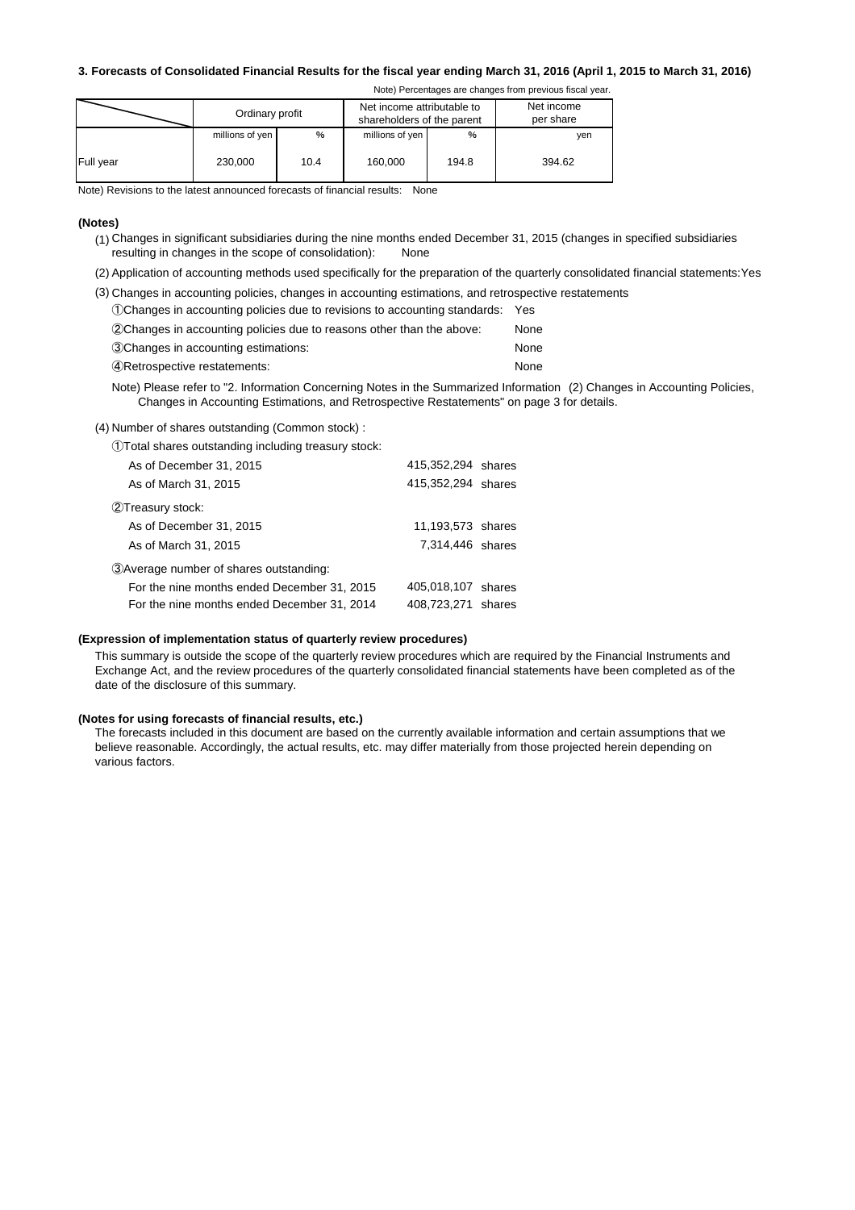#### **3. Forecasts of Consolidated Financial Results for the fiscal year ending March 31, 2016 (April 1, 2015 to March 31, 2016)**

Note) Percentages are changes from previous fiscal year.

| Ordinary profit |                 | Net income attributable to<br>shareholders of the parent |                 | Net income<br>per share |        |
|-----------------|-----------------|----------------------------------------------------------|-----------------|-------------------------|--------|
|                 | millions of yen | %                                                        | millions of yen | %                       | ven    |
| Full year       | 230,000         | 10.4                                                     | 160,000         | 194.8                   | 394.62 |

Note) Revisions to the latest announced forecasts of financial results: None

#### **(Notes)**

- (1) Changes in significant subsidiaries during the nine months ended December 31, 2015 (changes in specified subsidiaries resulting in changes in the scope of consolidation): None
- (2) Application of accounting methods used specifically for the preparation of the quarterly consolidated financial statements:Yes
- (3) Changes in accounting policies, changes in accounting estimations, and retrospective restatements

| 10 Ochanges in accounting policies due to revisions to accounting standards: Yes |  |  |
|----------------------------------------------------------------------------------|--|--|
|----------------------------------------------------------------------------------|--|--|

| (2) Changes in accounting policies due to reasons other than the above: | None |
|-------------------------------------------------------------------------|------|
| 3Changes in accounting estimations:                                     | None |
| 4) Retrospective restatements:                                          | None |

Note) Please refer to "2. Information Concerning Notes in the Summarized Information (2) Changes in Accounting Policies, Changes in Accounting Estimations, and Retrospective Restatements" on page 3 for details.

(4) Number of shares outstanding (Common stock) :

| 1) Total shares outstanding including treasury stock: |  |  |
|-------------------------------------------------------|--|--|
|                                                       |  |  |

| As of December 31, 2015                     | 415,352,294 shares |  |
|---------------------------------------------|--------------------|--|
| As of March 31, 2015                        | 415,352,294 shares |  |
| 2Treasury stock:                            |                    |  |
| As of December 31, 2015                     | 11,193,573 shares  |  |
| As of March 31, 2015                        | 7,314,446 shares   |  |
| 3 Average number of shares outstanding:     |                    |  |
| For the nine months ended December 31, 2015 | 405,018,107 shares |  |
| For the nine months ended December 31, 2014 | 408,723,271 shares |  |

#### **(Expression of implementation status of quarterly review procedures)**

This summary is outside the scope of the quarterly review procedures which are required by the Financial Instruments and Exchange Act, and the review procedures of the quarterly consolidated financial statements have been completed as of the date of the disclosure of this summary.

#### **(Notes for using forecasts of financial results, etc.)**

The forecasts included in this document are based on the currently available information and certain assumptions that we believe reasonable. Accordingly, the actual results, etc. may differ materially from those projected herein depending on various factors.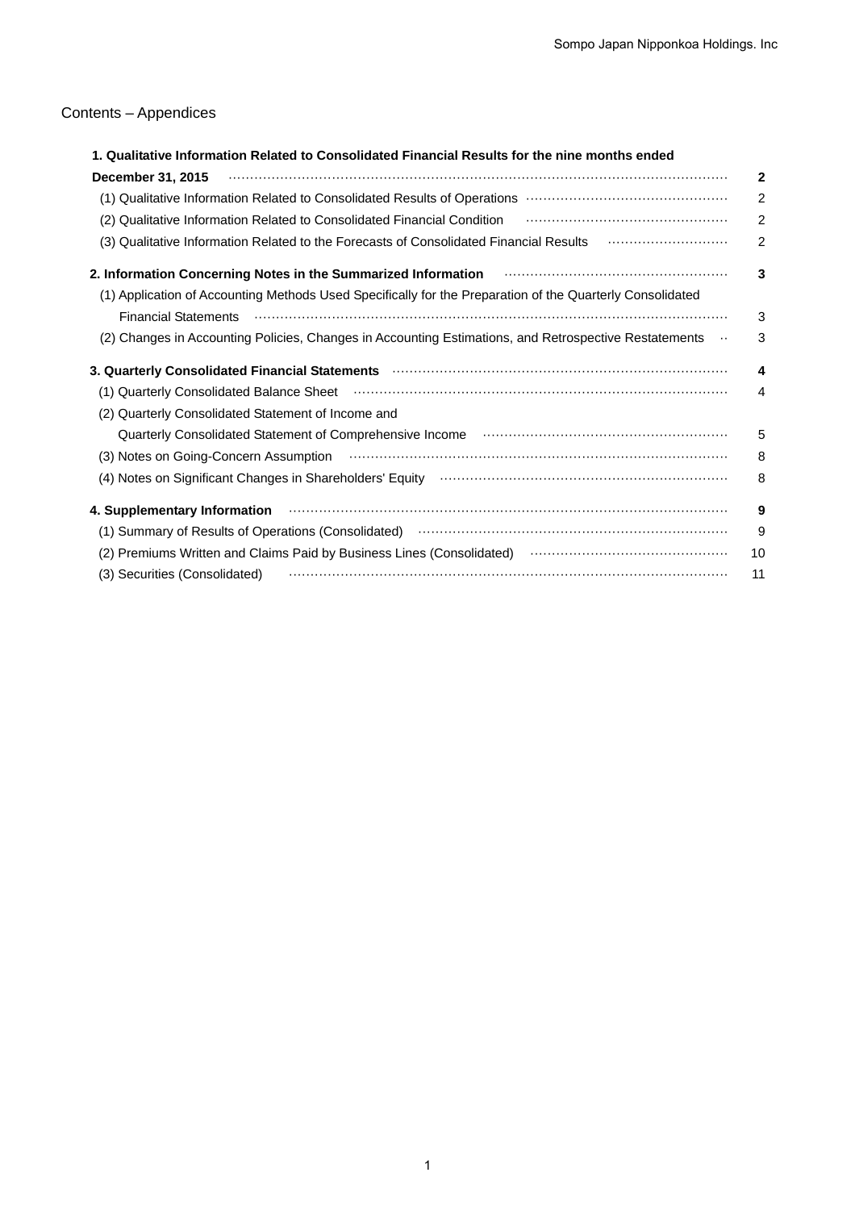# Contents – Appendices

| 1. Qualitative Information Related to Consolidated Financial Results for the nine months ended                                                                                                                                 |                |
|--------------------------------------------------------------------------------------------------------------------------------------------------------------------------------------------------------------------------------|----------------|
| December 31, 2015                                                                                                                                                                                                              | $\mathbf{2}$   |
|                                                                                                                                                                                                                                | $\overline{2}$ |
| (2) Qualitative Information Related to Consolidated Financial Condition (and the manumum continuum control of                                                                                                                  | $\overline{2}$ |
| (3) Qualitative Information Related to the Forecasts of Consolidated Financial Results <b>Constituted Information</b>                                                                                                          | $\overline{2}$ |
| 2. Information Concerning Notes in the Summarized Information <b>Construent Concernation</b> Concerning                                                                                                                        | 3              |
| (1) Application of Accounting Methods Used Specifically for the Preparation of the Quarterly Consolidated                                                                                                                      |                |
| <b>Financial Statements</b>                                                                                                                                                                                                    | 3              |
| (2) Changes in Accounting Policies, Changes in Accounting Estimations, and Retrospective Restatements                                                                                                                          | 3              |
|                                                                                                                                                                                                                                | 4              |
| (1) Quarterly Consolidated Balance Sheet (and according to the control of the Caroline of the Consolidated Balance Sheet (1) and the continuum of the Caroline of the Consolidated Balance Sheet (1) and the control of the Co | 4              |
| (2) Quarterly Consolidated Statement of Income and                                                                                                                                                                             |                |
|                                                                                                                                                                                                                                | 5              |
| (3) Notes on Going-Concern Assumption (and accordinational control of Assumption Assumption                                                                                                                                    | 8              |
|                                                                                                                                                                                                                                | 8              |
| 4. Supplementary Information manufactured contains and the control of the state of the state of the state of the state of the state of the state of the state of the state of the state of the state of the state of the state | 9              |
| (1) Summary of Results of Operations (Consolidated) manufactured controller and support of Results of Operations (Consolidated)                                                                                                | 9              |
| (2) Premiums Written and Claims Paid by Business Lines (Consolidated) <b>Construct Constant Construct</b>                                                                                                                      | 10             |
| (3) Securities (Consolidated)                                                                                                                                                                                                  | 11             |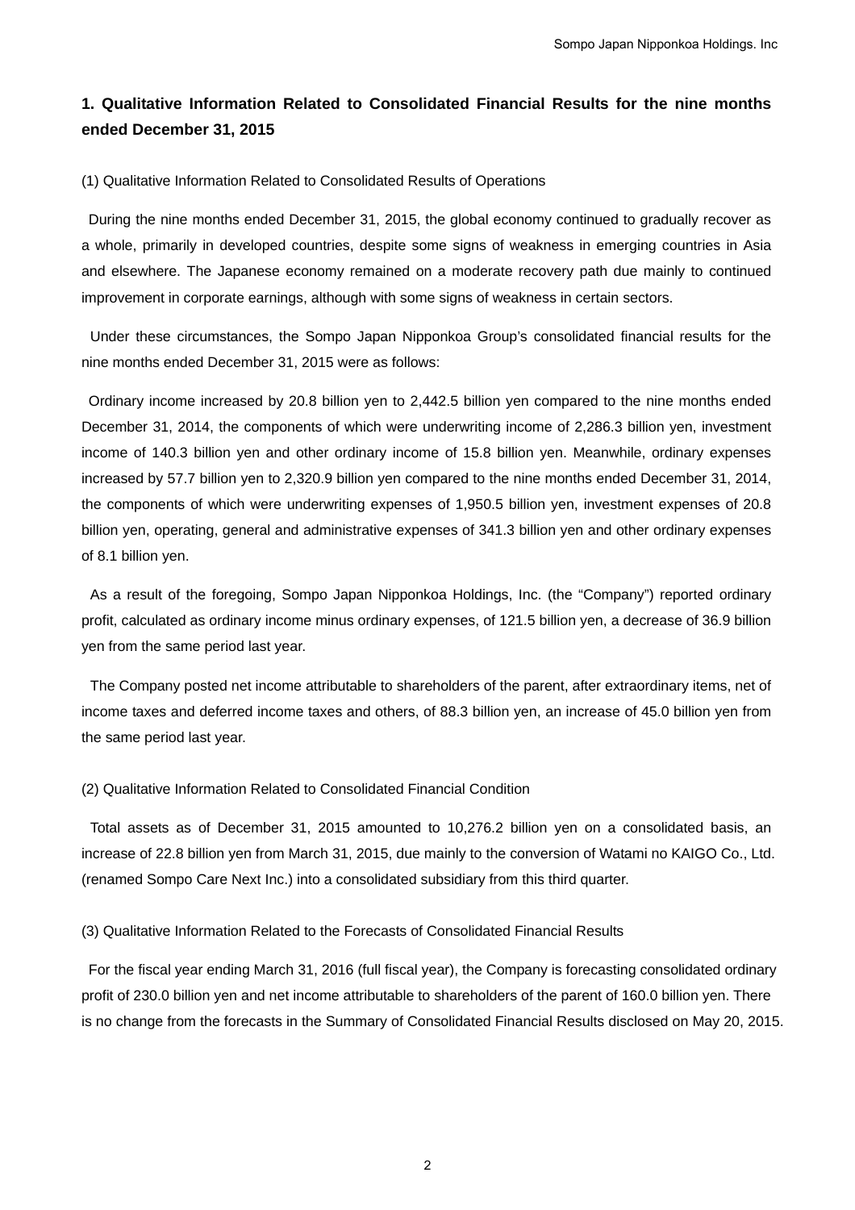# **1. Qualitative Information Related to Consolidated Financial Results for the nine months ended December 31, 2015**

(1) Qualitative Information Related to Consolidated Results of Operations

During the nine months ended December 31, 2015, the global economy continued to gradually recover as a whole, primarily in developed countries, despite some signs of weakness in emerging countries in Asia and elsewhere. The Japanese economy remained on a moderate recovery path due mainly to continued improvement in corporate earnings, although with some signs of weakness in certain sectors.

Under these circumstances, the Sompo Japan Nipponkoa Group's consolidated financial results for the nine months ended December 31, 2015 were as follows:

Ordinary income increased by 20.8 billion yen to 2,442.5 billion yen compared to the nine months ended December 31, 2014, the components of which were underwriting income of 2,286.3 billion yen, investment income of 140.3 billion yen and other ordinary income of 15.8 billion yen. Meanwhile, ordinary expenses increased by 57.7 billion yen to 2,320.9 billion yen compared to the nine months ended December 31, 2014, the components of which were underwriting expenses of 1,950.5 billion yen, investment expenses of 20.8 billion yen, operating, general and administrative expenses of 341.3 billion yen and other ordinary expenses of 8.1 billion yen.

As a result of the foregoing, Sompo Japan Nipponkoa Holdings, Inc. (the "Company") reported ordinary profit, calculated as ordinary income minus ordinary expenses, of 121.5 billion yen, a decrease of 36.9 billion yen from the same period last year.

The Company posted net income attributable to shareholders of the parent, after extraordinary items, net of income taxes and deferred income taxes and others, of 88.3 billion yen, an increase of 45.0 billion yen from the same period last year.

### (2) Qualitative Information Related to Consolidated Financial Condition

Total assets as of December 31, 2015 amounted to 10,276.2 billion yen on a consolidated basis, an increase of 22.8 billion yen from March 31, 2015, due mainly to the conversion of Watami no KAIGO Co., Ltd. (renamed Sompo Care Next Inc.) into a consolidated subsidiary from this third quarter.

(3) Qualitative Information Related to the Forecasts of Consolidated Financial Results

For the fiscal year ending March 31, 2016 (full fiscal year), the Company is forecasting consolidated ordinary profit of 230.0 billion yen and net income attributable to shareholders of the parent of 160.0 billion yen. There is no change from the forecasts in the Summary of Consolidated Financial Results disclosed on May 20, 2015.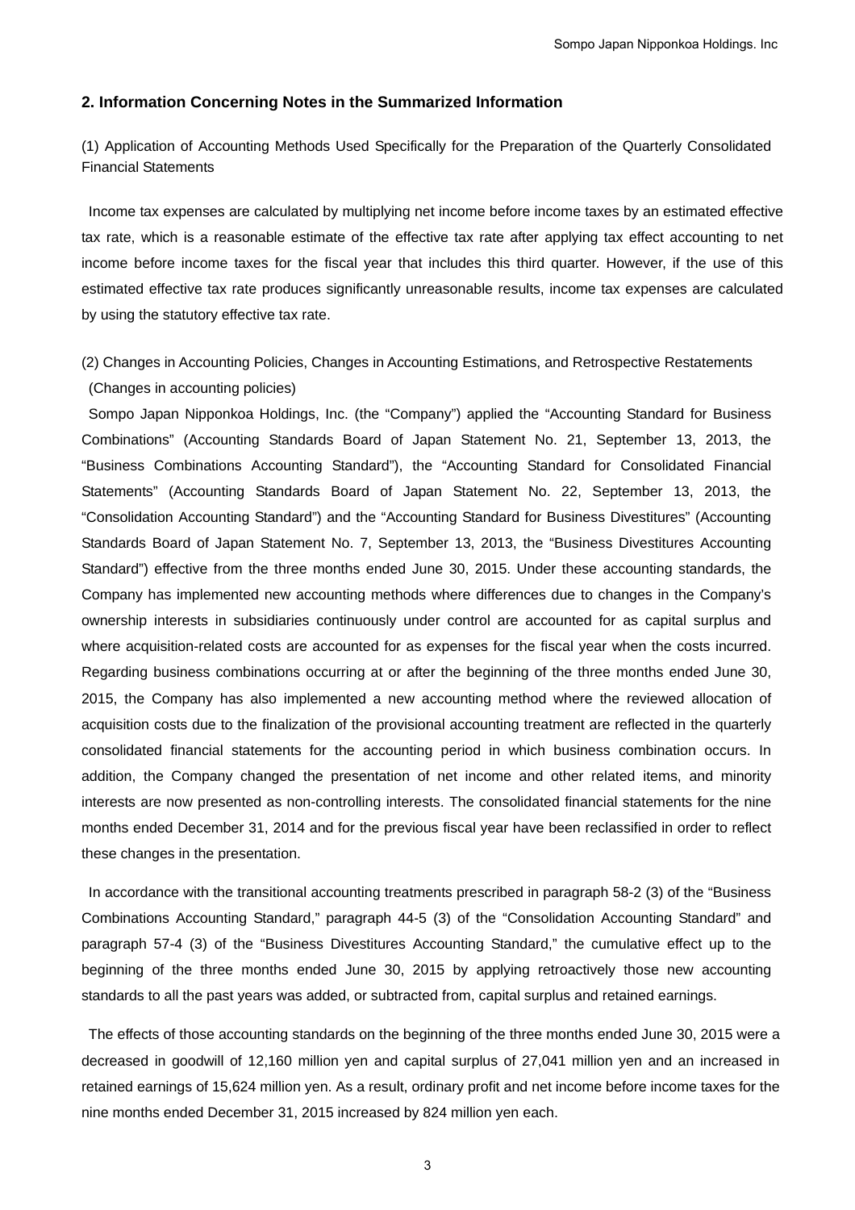## **2. Information Concerning Notes in the Summarized Information**

(1) Application of Accounting Methods Used Specifically for the Preparation of the Quarterly Consolidated Financial Statements

Income tax expenses are calculated by multiplying net income before income taxes by an estimated effective tax rate, which is a reasonable estimate of the effective tax rate after applying tax effect accounting to net income before income taxes for the fiscal year that includes this third quarter. However, if the use of this estimated effective tax rate produces significantly unreasonable results, income tax expenses are calculated by using the statutory effective tax rate.

(2) Changes in Accounting Policies, Changes in Accounting Estimations, and Retrospective Restatements (Changes in accounting policies)

Sompo Japan Nipponkoa Holdings, Inc. (the "Company") applied the "Accounting Standard for Business Combinations" (Accounting Standards Board of Japan Statement No. 21, September 13, 2013, the "Business Combinations Accounting Standard"), the "Accounting Standard for Consolidated Financial Statements" (Accounting Standards Board of Japan Statement No. 22, September 13, 2013, the "Consolidation Accounting Standard") and the "Accounting Standard for Business Divestitures" (Accounting Standards Board of Japan Statement No. 7, September 13, 2013, the "Business Divestitures Accounting Standard") effective from the three months ended June 30, 2015. Under these accounting standards, the Company has implemented new accounting methods where differences due to changes in the Company's ownership interests in subsidiaries continuously under control are accounted for as capital surplus and where acquisition-related costs are accounted for as expenses for the fiscal year when the costs incurred. Regarding business combinations occurring at or after the beginning of the three months ended June 30, 2015, the Company has also implemented a new accounting method where the reviewed allocation of acquisition costs due to the finalization of the provisional accounting treatment are reflected in the quarterly consolidated financial statements for the accounting period in which business combination occurs. In addition, the Company changed the presentation of net income and other related items, and minority interests are now presented as non-controlling interests. The consolidated financial statements for the nine months ended December 31, 2014 and for the previous fiscal year have been reclassified in order to reflect these changes in the presentation.

In accordance with the transitional accounting treatments prescribed in paragraph 58-2 (3) of the "Business Combinations Accounting Standard," paragraph 44-5 (3) of the "Consolidation Accounting Standard" and paragraph 57-4 (3) of the "Business Divestitures Accounting Standard," the cumulative effect up to the beginning of the three months ended June 30, 2015 by applying retroactively those new accounting standards to all the past years was added, or subtracted from, capital surplus and retained earnings.

The effects of those accounting standards on the beginning of the three months ended June 30, 2015 were a decreased in goodwill of 12,160 million yen and capital surplus of 27,041 million yen and an increased in retained earnings of 15,624 million yen. As a result, ordinary profit and net income before income taxes for the nine months ended December 31, 2015 increased by 824 million yen each.

3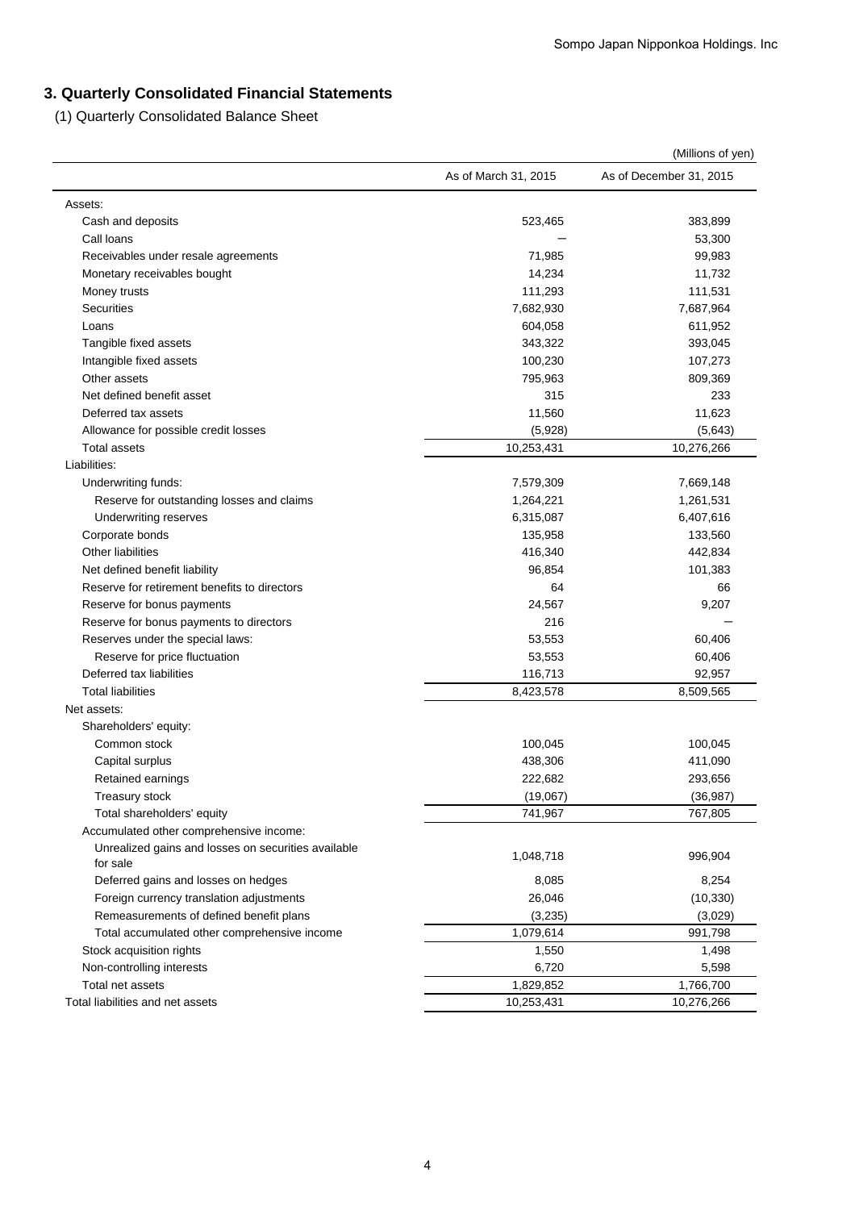# **3. Quarterly Consolidated Financial Statements**

(1) Quarterly Consolidated Balance Sheet

|                                                                 |                      | (Millions of yen)       |
|-----------------------------------------------------------------|----------------------|-------------------------|
|                                                                 | As of March 31, 2015 | As of December 31, 2015 |
| Assets:                                                         |                      |                         |
| Cash and deposits                                               | 523,465              | 383,899                 |
| Call loans                                                      |                      | 53,300                  |
| Receivables under resale agreements                             | 71,985               | 99,983                  |
| Monetary receivables bought                                     | 14,234               | 11,732                  |
| Money trusts                                                    | 111,293              | 111,531                 |
| <b>Securities</b>                                               | 7,682,930            | 7,687,964               |
| Loans                                                           | 604,058              | 611,952                 |
| Tangible fixed assets                                           | 343,322              | 393,045                 |
| Intangible fixed assets                                         | 100,230              | 107,273                 |
| Other assets                                                    | 795,963              | 809,369                 |
| Net defined benefit asset                                       | 315                  | 233                     |
| Deferred tax assets                                             | 11,560               | 11,623                  |
| Allowance for possible credit losses                            | (5,928)              | (5,643)                 |
| <b>Total assets</b>                                             | 10,253,431           | 10,276,266              |
| Liabilities:                                                    |                      |                         |
| Underwriting funds:                                             | 7,579,309            | 7,669,148               |
| Reserve for outstanding losses and claims                       | 1,264,221            | 1,261,531               |
| Underwriting reserves                                           | 6,315,087            | 6,407,616               |
| Corporate bonds                                                 | 135,958              | 133,560                 |
| Other liabilities                                               | 416,340              | 442,834                 |
| Net defined benefit liability                                   | 96,854               | 101,383                 |
| Reserve for retirement benefits to directors                    | 64                   | 66                      |
| Reserve for bonus payments                                      | 24,567               | 9,207                   |
| Reserve for bonus payments to directors                         | 216                  |                         |
| Reserves under the special laws:                                | 53,553               | 60,406                  |
| Reserve for price fluctuation                                   | 53,553               | 60,406                  |
| Deferred tax liabilities                                        | 116,713              | 92,957                  |
| <b>Total liabilities</b>                                        | 8,423,578            | 8,509,565               |
| Net assets:                                                     |                      |                         |
| Shareholders' equity:                                           |                      |                         |
| Common stock                                                    | 100,045              | 100,045                 |
| Capital surplus                                                 | 438,306              | 411,090                 |
| Retained earnings                                               | 222,682              | 293,656                 |
| Treasury stock                                                  | (19,067)             | (36, 987)               |
| Total shareholders' equity                                      | 741,967              | 767,805                 |
| Accumulated other comprehensive income:                         |                      |                         |
| Unrealized gains and losses on securities available<br>for sale | 1,048,718            | 996,904                 |
| Deferred gains and losses on hedges                             | 8,085                | 8,254                   |
| Foreign currency translation adjustments                        | 26,046               | (10, 330)               |
| Remeasurements of defined benefit plans                         | (3,235)              | (3,029)                 |
| Total accumulated other comprehensive income                    | 1,079,614            | 991,798                 |
| Stock acquisition rights                                        | 1,550                | 1,498                   |
| Non-controlling interests                                       | 6,720                | 5,598                   |
| Total net assets                                                | 1,829,852            | 1,766,700               |
| Total liabilities and net assets                                | 10,253,431           | 10,276,266              |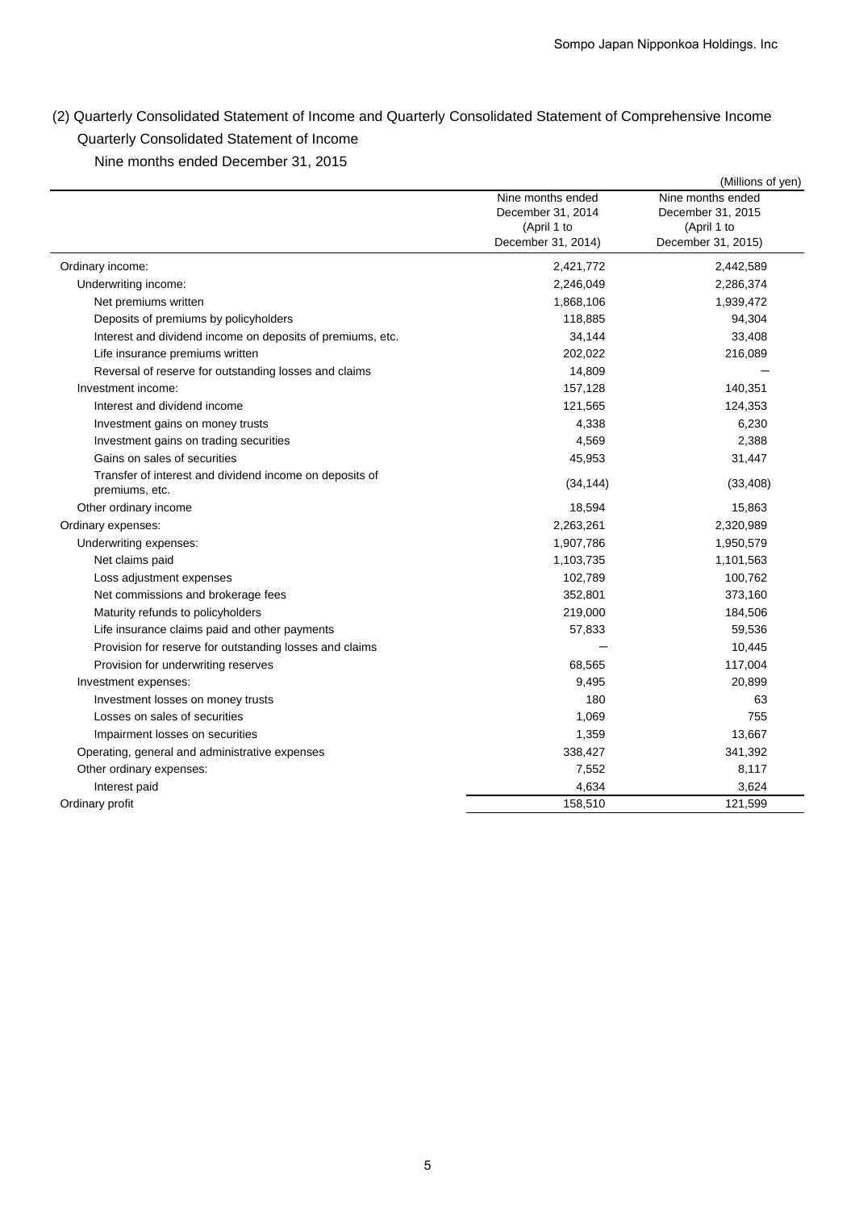(2) Quarterly Consolidated Statement of Income and Quarterly Consolidated Statement of Comprehensive Income Quarterly Consolidated Statement of Income

Nine months ended December 31, 2015

| Nine months ended<br>Nine months ended<br>December 31, 2014<br>December 31, 2015<br>(April 1 to<br>(April 1 to<br>December 31, 2014)<br>December 31, 2015)<br>Ordinary income:<br>2,421,772<br>2,442,589<br>Underwriting income:<br>2,246,049<br>2,286,374<br>1,868,106<br>1,939,472<br>Net premiums written<br>Deposits of premiums by policyholders<br>118,885<br>94,304<br>Interest and dividend income on deposits of premiums, etc.<br>34,144<br>33,408<br>202,022<br>216,089<br>Life insurance premiums written<br>Reversal of reserve for outstanding losses and claims<br>14,809<br>Investment income:<br>157,128<br>140,351<br>Interest and dividend income<br>121,565<br>124,353<br>4,338<br>6,230<br>Investment gains on money trusts<br>4,569<br>2,388<br>Investment gains on trading securities<br>Gains on sales of securities<br>45,953<br>31,447<br>Transfer of interest and dividend income on deposits of<br>(34, 144)<br>(33, 408)<br>premiums, etc.<br>Other ordinary income<br>18,594<br>15,863<br>2,320,989<br>Ordinary expenses:<br>2,263,261<br>1,950,579<br>Underwriting expenses:<br>1,907,786<br>1,103,735<br>1,101,563<br>Net claims paid<br>100,762<br>102,789<br>Loss adjustment expenses<br>Net commissions and brokerage fees<br>352,801<br>373,160<br>Maturity refunds to policyholders<br>219,000<br>184,506<br>Life insurance claims paid and other payments<br>57,833<br>59,536<br>Provision for reserve for outstanding losses and claims<br>10,445<br>Provision for underwriting reserves<br>68,565<br>117,004<br>9,495<br>20,899<br>Investment expenses:<br>180<br>63<br>Investment losses on money trusts<br>Losses on sales of securities<br>1,069<br>755<br>Impairment losses on securities<br>1,359<br>13,667<br>Operating, general and administrative expenses<br>338,427<br>341,392<br>Other ordinary expenses:<br>7,552<br>8,117<br>4,634<br>3,624<br>Interest paid<br>Ordinary profit<br>158,510<br>121,599 |  | (Millions of yen) |
|------------------------------------------------------------------------------------------------------------------------------------------------------------------------------------------------------------------------------------------------------------------------------------------------------------------------------------------------------------------------------------------------------------------------------------------------------------------------------------------------------------------------------------------------------------------------------------------------------------------------------------------------------------------------------------------------------------------------------------------------------------------------------------------------------------------------------------------------------------------------------------------------------------------------------------------------------------------------------------------------------------------------------------------------------------------------------------------------------------------------------------------------------------------------------------------------------------------------------------------------------------------------------------------------------------------------------------------------------------------------------------------------------------------------------------------------------------------------------------------------------------------------------------------------------------------------------------------------------------------------------------------------------------------------------------------------------------------------------------------------------------------------------------------------------------------------------------------------------------------------------------------------------------------------------------------------------------|--|-------------------|
|                                                                                                                                                                                                                                                                                                                                                                                                                                                                                                                                                                                                                                                                                                                                                                                                                                                                                                                                                                                                                                                                                                                                                                                                                                                                                                                                                                                                                                                                                                                                                                                                                                                                                                                                                                                                                                                                                                                                                            |  |                   |
|                                                                                                                                                                                                                                                                                                                                                                                                                                                                                                                                                                                                                                                                                                                                                                                                                                                                                                                                                                                                                                                                                                                                                                                                                                                                                                                                                                                                                                                                                                                                                                                                                                                                                                                                                                                                                                                                                                                                                            |  |                   |
|                                                                                                                                                                                                                                                                                                                                                                                                                                                                                                                                                                                                                                                                                                                                                                                                                                                                                                                                                                                                                                                                                                                                                                                                                                                                                                                                                                                                                                                                                                                                                                                                                                                                                                                                                                                                                                                                                                                                                            |  |                   |
|                                                                                                                                                                                                                                                                                                                                                                                                                                                                                                                                                                                                                                                                                                                                                                                                                                                                                                                                                                                                                                                                                                                                                                                                                                                                                                                                                                                                                                                                                                                                                                                                                                                                                                                                                                                                                                                                                                                                                            |  |                   |
|                                                                                                                                                                                                                                                                                                                                                                                                                                                                                                                                                                                                                                                                                                                                                                                                                                                                                                                                                                                                                                                                                                                                                                                                                                                                                                                                                                                                                                                                                                                                                                                                                                                                                                                                                                                                                                                                                                                                                            |  |                   |
|                                                                                                                                                                                                                                                                                                                                                                                                                                                                                                                                                                                                                                                                                                                                                                                                                                                                                                                                                                                                                                                                                                                                                                                                                                                                                                                                                                                                                                                                                                                                                                                                                                                                                                                                                                                                                                                                                                                                                            |  |                   |
|                                                                                                                                                                                                                                                                                                                                                                                                                                                                                                                                                                                                                                                                                                                                                                                                                                                                                                                                                                                                                                                                                                                                                                                                                                                                                                                                                                                                                                                                                                                                                                                                                                                                                                                                                                                                                                                                                                                                                            |  |                   |
|                                                                                                                                                                                                                                                                                                                                                                                                                                                                                                                                                                                                                                                                                                                                                                                                                                                                                                                                                                                                                                                                                                                                                                                                                                                                                                                                                                                                                                                                                                                                                                                                                                                                                                                                                                                                                                                                                                                                                            |  |                   |
|                                                                                                                                                                                                                                                                                                                                                                                                                                                                                                                                                                                                                                                                                                                                                                                                                                                                                                                                                                                                                                                                                                                                                                                                                                                                                                                                                                                                                                                                                                                                                                                                                                                                                                                                                                                                                                                                                                                                                            |  |                   |
|                                                                                                                                                                                                                                                                                                                                                                                                                                                                                                                                                                                                                                                                                                                                                                                                                                                                                                                                                                                                                                                                                                                                                                                                                                                                                                                                                                                                                                                                                                                                                                                                                                                                                                                                                                                                                                                                                                                                                            |  |                   |
|                                                                                                                                                                                                                                                                                                                                                                                                                                                                                                                                                                                                                                                                                                                                                                                                                                                                                                                                                                                                                                                                                                                                                                                                                                                                                                                                                                                                                                                                                                                                                                                                                                                                                                                                                                                                                                                                                                                                                            |  |                   |
|                                                                                                                                                                                                                                                                                                                                                                                                                                                                                                                                                                                                                                                                                                                                                                                                                                                                                                                                                                                                                                                                                                                                                                                                                                                                                                                                                                                                                                                                                                                                                                                                                                                                                                                                                                                                                                                                                                                                                            |  |                   |
|                                                                                                                                                                                                                                                                                                                                                                                                                                                                                                                                                                                                                                                                                                                                                                                                                                                                                                                                                                                                                                                                                                                                                                                                                                                                                                                                                                                                                                                                                                                                                                                                                                                                                                                                                                                                                                                                                                                                                            |  |                   |
|                                                                                                                                                                                                                                                                                                                                                                                                                                                                                                                                                                                                                                                                                                                                                                                                                                                                                                                                                                                                                                                                                                                                                                                                                                                                                                                                                                                                                                                                                                                                                                                                                                                                                                                                                                                                                                                                                                                                                            |  |                   |
|                                                                                                                                                                                                                                                                                                                                                                                                                                                                                                                                                                                                                                                                                                                                                                                                                                                                                                                                                                                                                                                                                                                                                                                                                                                                                                                                                                                                                                                                                                                                                                                                                                                                                                                                                                                                                                                                                                                                                            |  |                   |
|                                                                                                                                                                                                                                                                                                                                                                                                                                                                                                                                                                                                                                                                                                                                                                                                                                                                                                                                                                                                                                                                                                                                                                                                                                                                                                                                                                                                                                                                                                                                                                                                                                                                                                                                                                                                                                                                                                                                                            |  |                   |
|                                                                                                                                                                                                                                                                                                                                                                                                                                                                                                                                                                                                                                                                                                                                                                                                                                                                                                                                                                                                                                                                                                                                                                                                                                                                                                                                                                                                                                                                                                                                                                                                                                                                                                                                                                                                                                                                                                                                                            |  |                   |
|                                                                                                                                                                                                                                                                                                                                                                                                                                                                                                                                                                                                                                                                                                                                                                                                                                                                                                                                                                                                                                                                                                                                                                                                                                                                                                                                                                                                                                                                                                                                                                                                                                                                                                                                                                                                                                                                                                                                                            |  |                   |
|                                                                                                                                                                                                                                                                                                                                                                                                                                                                                                                                                                                                                                                                                                                                                                                                                                                                                                                                                                                                                                                                                                                                                                                                                                                                                                                                                                                                                                                                                                                                                                                                                                                                                                                                                                                                                                                                                                                                                            |  |                   |
|                                                                                                                                                                                                                                                                                                                                                                                                                                                                                                                                                                                                                                                                                                                                                                                                                                                                                                                                                                                                                                                                                                                                                                                                                                                                                                                                                                                                                                                                                                                                                                                                                                                                                                                                                                                                                                                                                                                                                            |  |                   |
|                                                                                                                                                                                                                                                                                                                                                                                                                                                                                                                                                                                                                                                                                                                                                                                                                                                                                                                                                                                                                                                                                                                                                                                                                                                                                                                                                                                                                                                                                                                                                                                                                                                                                                                                                                                                                                                                                                                                                            |  |                   |
|                                                                                                                                                                                                                                                                                                                                                                                                                                                                                                                                                                                                                                                                                                                                                                                                                                                                                                                                                                                                                                                                                                                                                                                                                                                                                                                                                                                                                                                                                                                                                                                                                                                                                                                                                                                                                                                                                                                                                            |  |                   |
|                                                                                                                                                                                                                                                                                                                                                                                                                                                                                                                                                                                                                                                                                                                                                                                                                                                                                                                                                                                                                                                                                                                                                                                                                                                                                                                                                                                                                                                                                                                                                                                                                                                                                                                                                                                                                                                                                                                                                            |  |                   |
|                                                                                                                                                                                                                                                                                                                                                                                                                                                                                                                                                                                                                                                                                                                                                                                                                                                                                                                                                                                                                                                                                                                                                                                                                                                                                                                                                                                                                                                                                                                                                                                                                                                                                                                                                                                                                                                                                                                                                            |  |                   |
|                                                                                                                                                                                                                                                                                                                                                                                                                                                                                                                                                                                                                                                                                                                                                                                                                                                                                                                                                                                                                                                                                                                                                                                                                                                                                                                                                                                                                                                                                                                                                                                                                                                                                                                                                                                                                                                                                                                                                            |  |                   |
|                                                                                                                                                                                                                                                                                                                                                                                                                                                                                                                                                                                                                                                                                                                                                                                                                                                                                                                                                                                                                                                                                                                                                                                                                                                                                                                                                                                                                                                                                                                                                                                                                                                                                                                                                                                                                                                                                                                                                            |  |                   |
|                                                                                                                                                                                                                                                                                                                                                                                                                                                                                                                                                                                                                                                                                                                                                                                                                                                                                                                                                                                                                                                                                                                                                                                                                                                                                                                                                                                                                                                                                                                                                                                                                                                                                                                                                                                                                                                                                                                                                            |  |                   |
|                                                                                                                                                                                                                                                                                                                                                                                                                                                                                                                                                                                                                                                                                                                                                                                                                                                                                                                                                                                                                                                                                                                                                                                                                                                                                                                                                                                                                                                                                                                                                                                                                                                                                                                                                                                                                                                                                                                                                            |  |                   |
|                                                                                                                                                                                                                                                                                                                                                                                                                                                                                                                                                                                                                                                                                                                                                                                                                                                                                                                                                                                                                                                                                                                                                                                                                                                                                                                                                                                                                                                                                                                                                                                                                                                                                                                                                                                                                                                                                                                                                            |  |                   |
|                                                                                                                                                                                                                                                                                                                                                                                                                                                                                                                                                                                                                                                                                                                                                                                                                                                                                                                                                                                                                                                                                                                                                                                                                                                                                                                                                                                                                                                                                                                                                                                                                                                                                                                                                                                                                                                                                                                                                            |  |                   |
|                                                                                                                                                                                                                                                                                                                                                                                                                                                                                                                                                                                                                                                                                                                                                                                                                                                                                                                                                                                                                                                                                                                                                                                                                                                                                                                                                                                                                                                                                                                                                                                                                                                                                                                                                                                                                                                                                                                                                            |  |                   |
|                                                                                                                                                                                                                                                                                                                                                                                                                                                                                                                                                                                                                                                                                                                                                                                                                                                                                                                                                                                                                                                                                                                                                                                                                                                                                                                                                                                                                                                                                                                                                                                                                                                                                                                                                                                                                                                                                                                                                            |  |                   |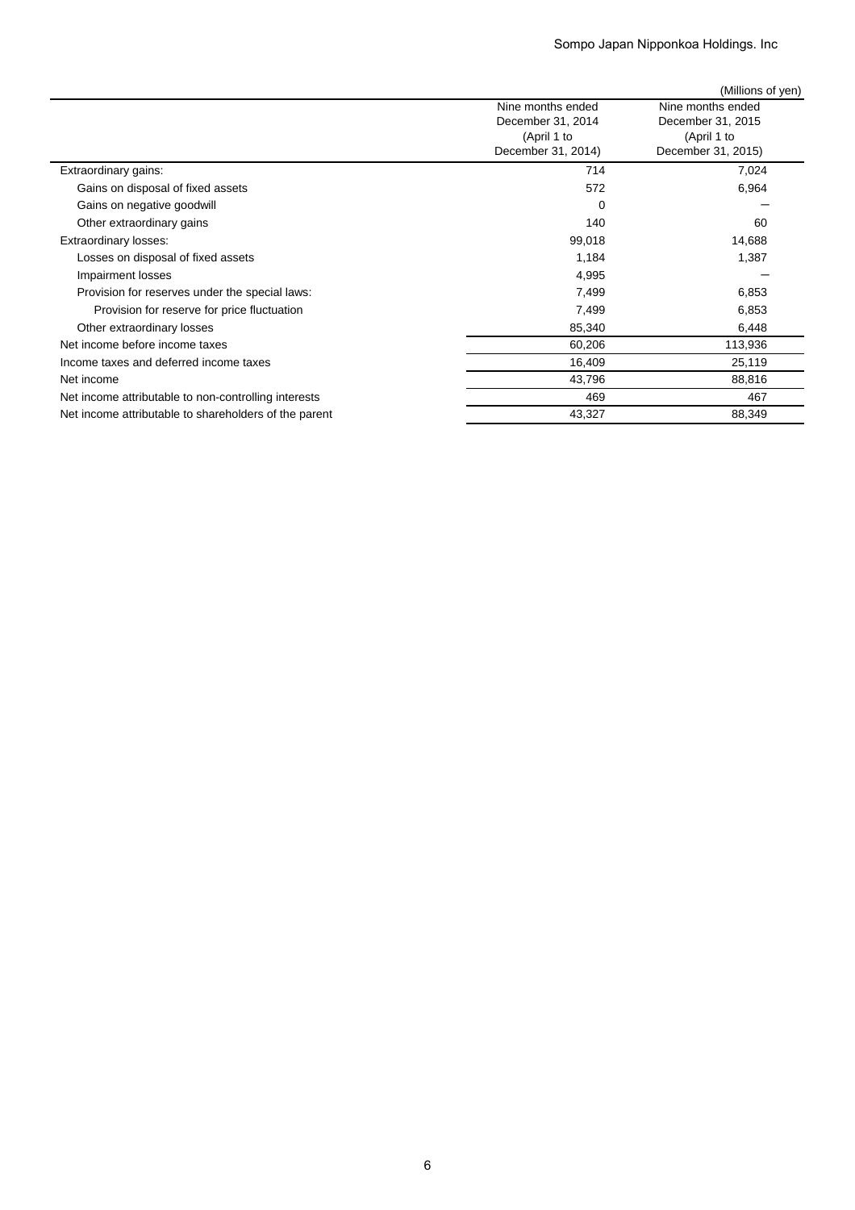|                                                       |                                        | (Millions of yen)                      |
|-------------------------------------------------------|----------------------------------------|----------------------------------------|
|                                                       | Nine months ended<br>December 31, 2014 | Nine months ended<br>December 31, 2015 |
|                                                       | (April 1 to<br>December 31, 2014)      | (April 1 to<br>December 31, 2015)      |
| Extraordinary gains:                                  | 714                                    | 7,024                                  |
| Gains on disposal of fixed assets                     | 572                                    | 6,964                                  |
| Gains on negative goodwill                            | 0                                      |                                        |
| Other extraordinary gains                             | 140                                    | 60                                     |
| Extraordinary losses:                                 | 99,018                                 | 14,688                                 |
| Losses on disposal of fixed assets                    | 1,184                                  | 1,387                                  |
| Impairment losses                                     | 4,995                                  |                                        |
| Provision for reserves under the special laws:        | 7,499                                  | 6,853                                  |
| Provision for reserve for price fluctuation           | 7,499                                  | 6,853                                  |
| Other extraordinary losses                            | 85,340                                 | 6,448                                  |
| Net income before income taxes                        | 60,206                                 | 113,936                                |
| Income taxes and deferred income taxes                | 16,409                                 | 25,119                                 |
| Net income                                            | 43,796                                 | 88,816                                 |
| Net income attributable to non-controlling interests  | 469                                    | 467                                    |
| Net income attributable to shareholders of the parent | 43,327                                 | 88,349                                 |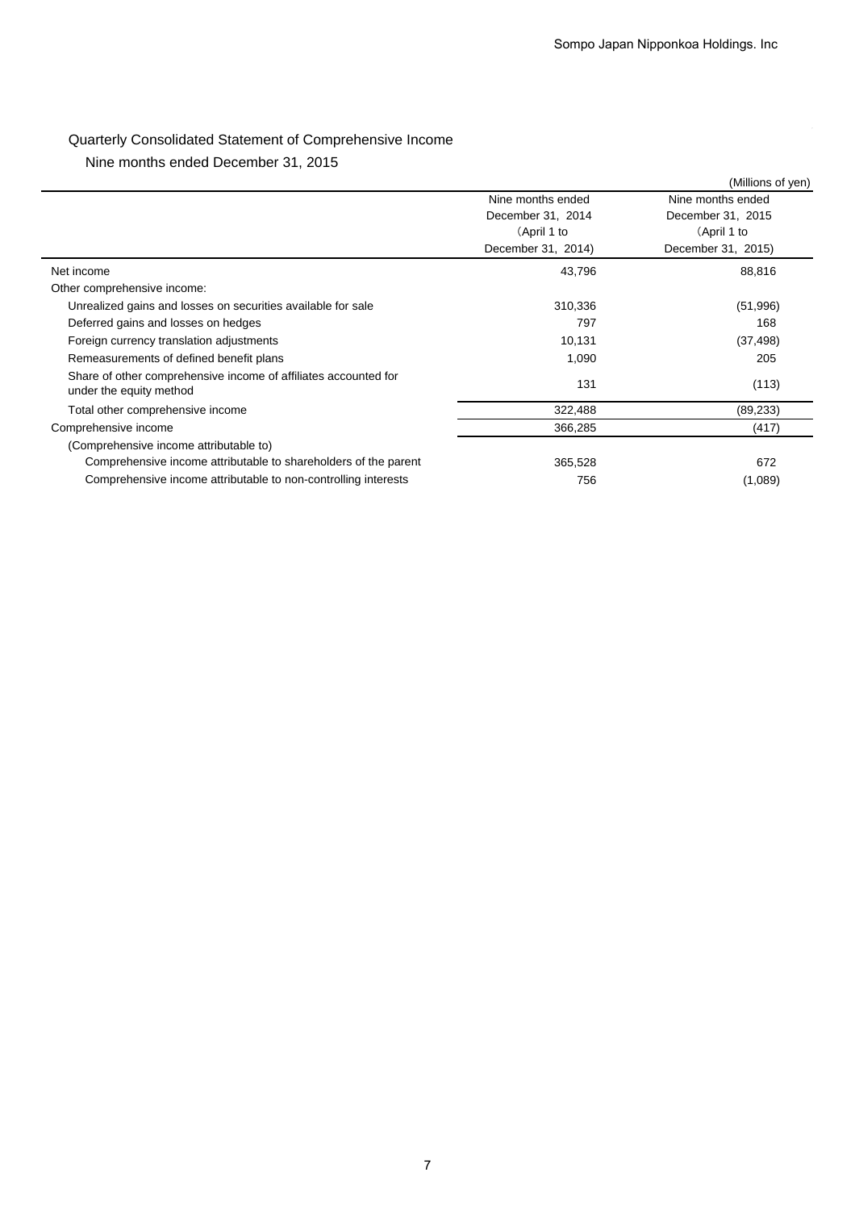# Quarterly Consolidated Statement of Comprehensive Income

Nine months ended December 31, 2015

|                                                                                            |                    | (Millions of yen)  |
|--------------------------------------------------------------------------------------------|--------------------|--------------------|
|                                                                                            | Nine months ended  | Nine months ended  |
|                                                                                            | December 31, 2014  | December 31, 2015  |
|                                                                                            | (April 1 to        | (April 1 to        |
|                                                                                            | December 31, 2014) | December 31, 2015) |
| Net income                                                                                 | 43,796             | 88,816             |
| Other comprehensive income:                                                                |                    |                    |
| Unrealized gains and losses on securities available for sale                               | 310,336            | (51,996)           |
| Deferred gains and losses on hedges                                                        | 797                | 168                |
| Foreign currency translation adjustments                                                   | 10,131             | (37, 498)          |
| Remeasurements of defined benefit plans                                                    | 1,090              | 205                |
| Share of other comprehensive income of affiliates accounted for<br>under the equity method | 131                | (113)              |
| Total other comprehensive income                                                           | 322,488            | (89, 233)          |
| Comprehensive income                                                                       | 366,285            | (417)              |
| (Comprehensive income attributable to)                                                     |                    |                    |
| Comprehensive income attributable to shareholders of the parent                            | 365,528            | 672                |
| Comprehensive income attributable to non-controlling interests                             | 756                | (1,089)            |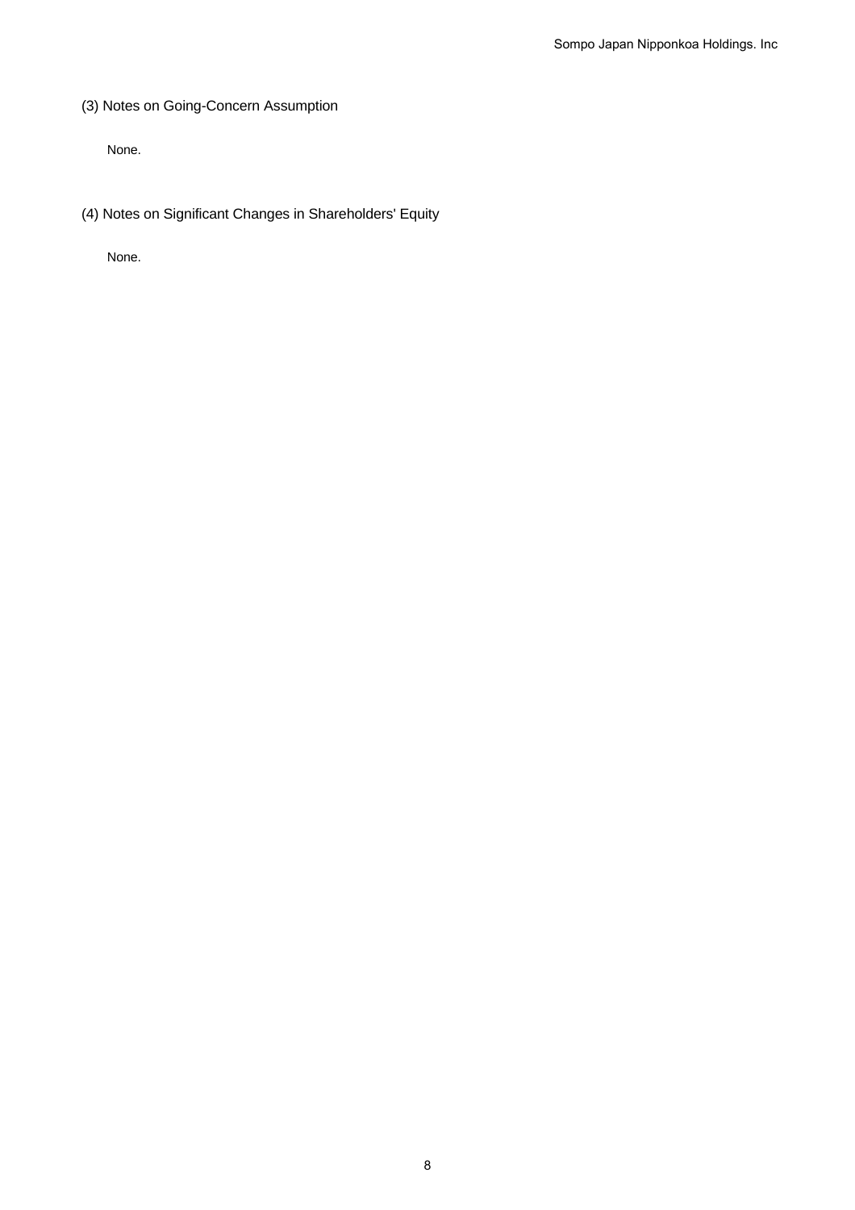(3) Notes on Going-Concern Assumption

None.

(4) Notes on Significant Changes in Shareholders' Equity

None.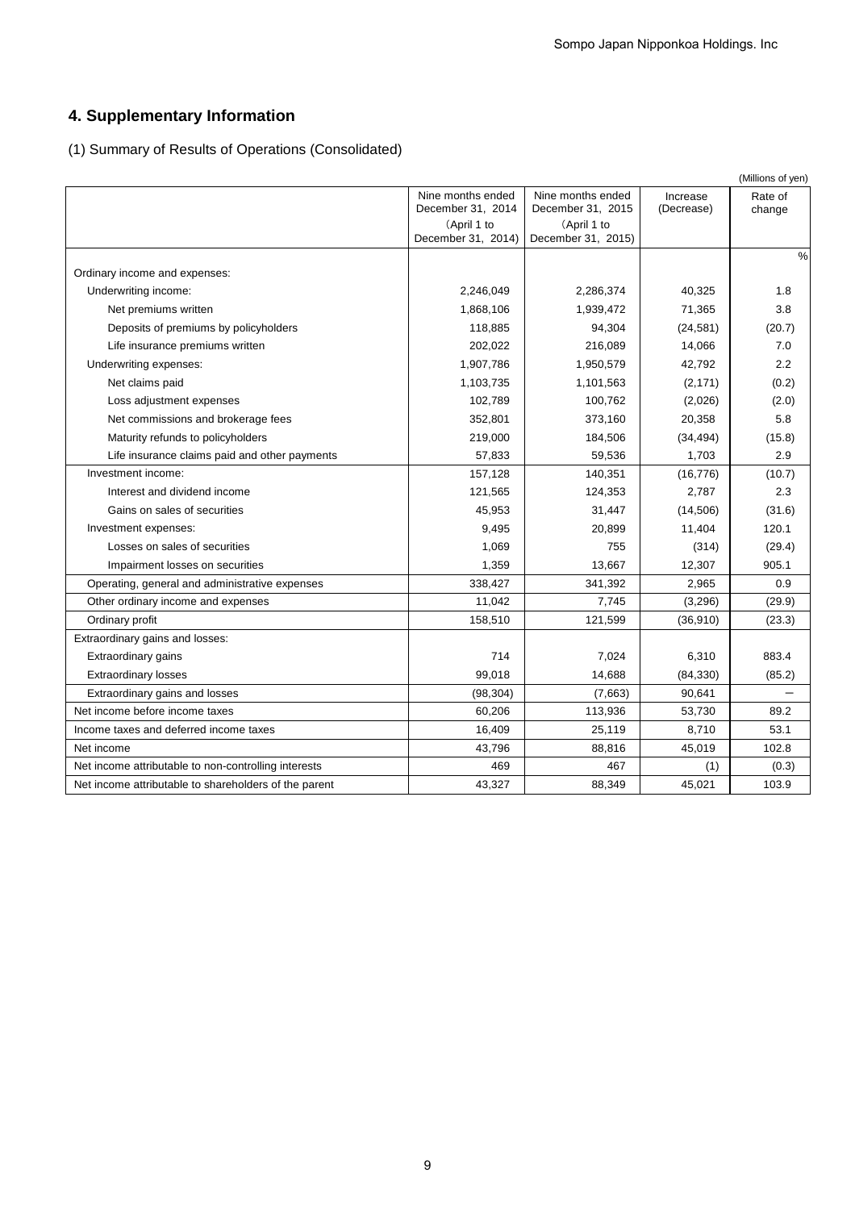# **4. Supplementary Information**

(1) Summary of Results of Operations (Consolidated)

|                                                       |                                        |                                        |                        | (Millions of yen) |
|-------------------------------------------------------|----------------------------------------|----------------------------------------|------------------------|-------------------|
|                                                       | Nine months ended<br>December 31, 2014 | Nine months ended<br>December 31, 2015 | Increase<br>(Decrease) | Rate of<br>change |
|                                                       | (April 1 to<br>December 31, 2014)      | (April 1 to<br>December 31, 2015)      |                        |                   |
| Ordinary income and expenses:                         |                                        |                                        |                        | $\frac{0}{0}$     |
| Underwriting income:                                  | 2,246,049                              | 2,286,374                              | 40,325                 | 1.8               |
| Net premiums written                                  | 1,868,106                              | 1,939,472                              | 71,365                 | 3.8               |
| Deposits of premiums by policyholders                 | 118,885                                | 94,304                                 | (24, 581)              | (20.7)            |
| Life insurance premiums written                       | 202,022                                | 216,089                                | 14,066                 | 7.0               |
| Underwriting expenses:                                | 1,907,786                              | 1,950,579                              | 42,792                 | 2.2               |
| Net claims paid                                       | 1,103,735                              | 1,101,563                              | (2, 171)               | (0.2)             |
| Loss adjustment expenses                              | 102,789                                | 100,762                                | (2,026)                | (2.0)             |
| Net commissions and brokerage fees                    | 352,801                                | 373,160                                | 20,358                 | 5.8               |
| Maturity refunds to policyholders                     | 219,000                                | 184,506                                | (34, 494)              | (15.8)            |
| Life insurance claims paid and other payments         | 57,833                                 | 59,536                                 | 1,703                  | 2.9               |
| Investment income:                                    | 157,128                                | 140,351                                | (16, 776)              | (10.7)            |
| Interest and dividend income                          | 121,565                                | 124,353                                | 2,787                  | 2.3               |
| Gains on sales of securities                          | 45,953                                 | 31,447                                 | (14, 506)              | (31.6)            |
| Investment expenses:                                  | 9,495                                  | 20,899                                 | 11,404                 | 120.1             |
| Losses on sales of securities                         | 1,069                                  | 755                                    | (314)                  | (29.4)            |
| Impairment losses on securities                       | 1,359                                  | 13,667                                 | 12,307                 | 905.1             |
| Operating, general and administrative expenses        | 338,427                                | 341,392                                | 2,965                  | 0.9               |
| Other ordinary income and expenses                    | 11,042                                 | 7,745                                  | (3,296)                | (29.9)            |
| Ordinary profit                                       | 158,510                                | 121,599                                | (36,910)               | (23.3)            |
| Extraordinary gains and losses:                       |                                        |                                        |                        |                   |
| <b>Extraordinary gains</b>                            | 714                                    | 7,024                                  | 6,310                  | 883.4             |
| <b>Extraordinary losses</b>                           | 99,018                                 | 14,688                                 | (84, 330)              | (85.2)            |
| Extraordinary gains and losses                        | (98, 304)                              | (7,663)                                | 90,641                 |                   |
| Net income before income taxes                        | 60,206                                 | 113,936                                | 53,730                 | 89.2              |
| Income taxes and deferred income taxes                | 16,409                                 | 25,119                                 | 8,710                  | 53.1              |
| Net income                                            | 43,796                                 | 88,816                                 | 45,019                 | 102.8             |
| Net income attributable to non-controlling interests  | 469                                    | 467                                    | (1)                    | (0.3)             |
| Net income attributable to shareholders of the parent | 43,327                                 | 88,349                                 | 45,021                 | 103.9             |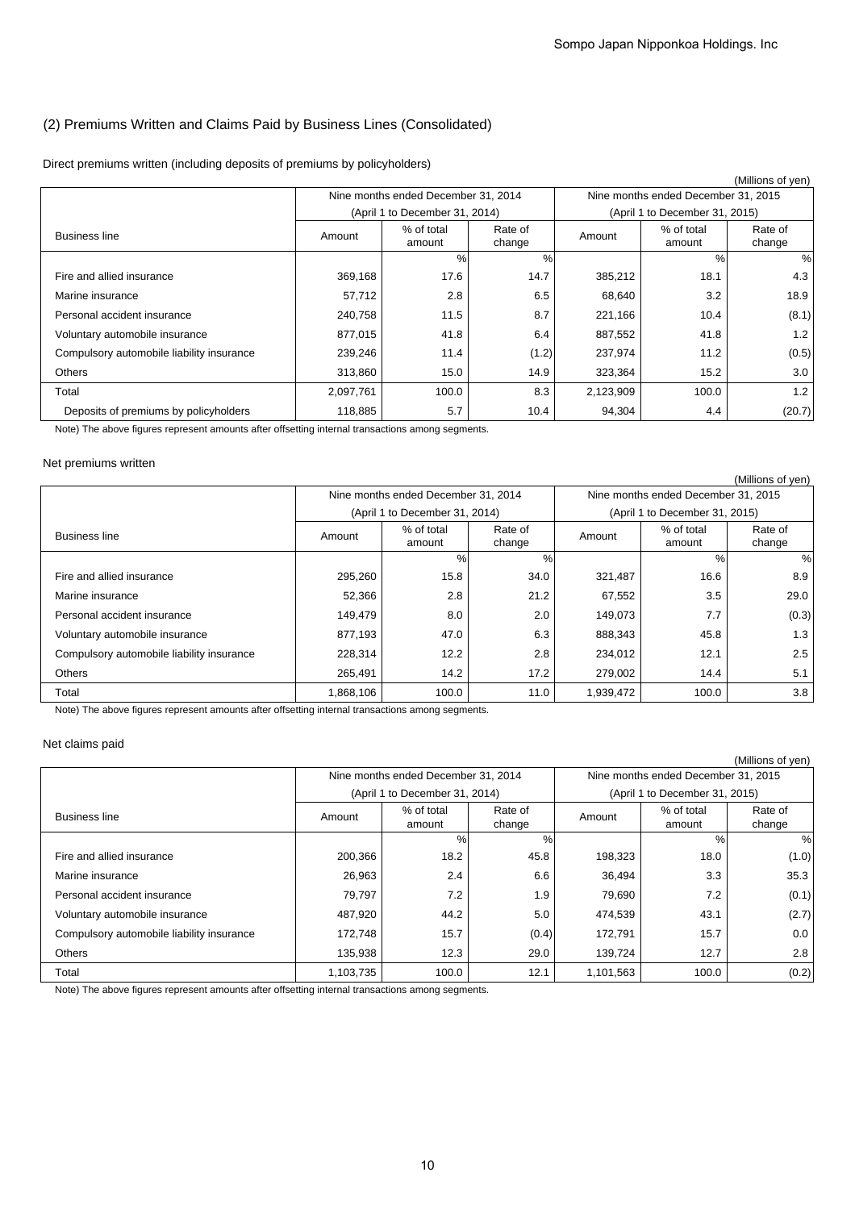## (2) Premiums Written and Claims Paid by Business Lines (Consolidated)

Direct premiums written (including deposits of premiums by policyholders)

|                                           |           |                                     |                   |           |                                     | (Millions of yen) |
|-------------------------------------------|-----------|-------------------------------------|-------------------|-----------|-------------------------------------|-------------------|
|                                           |           | Nine months ended December 31, 2014 |                   |           | Nine months ended December 31, 2015 |                   |
|                                           |           | (April 1 to December 31, 2014)      |                   |           | (April 1 to December 31, 2015)      |                   |
| <b>Business line</b>                      | Amount    | % of total<br>amount                | Rate of<br>change | Amount    | % of total<br>amount                | Rate of<br>change |
|                                           |           | $\%$                                | %                 |           | %                                   | %                 |
| Fire and allied insurance                 | 369,168   | 17.6                                | 14.7              | 385,212   | 18.1                                | 4.3               |
| Marine insurance                          | 57,712    | 2.8                                 | 6.5               | 68,640    | 3.2                                 | 18.9              |
| Personal accident insurance               | 240,758   | 11.5                                | 8.7               | 221,166   | 10.4                                | (8.1)             |
| Voluntary automobile insurance            | 877,015   | 41.8                                | 6.4               | 887,552   | 41.8                                | 1.2               |
| Compulsory automobile liability insurance | 239,246   | 11.4                                | (1.2)             | 237,974   | 11.2                                | (0.5)             |
| <b>Others</b>                             | 313,860   | 15.0                                | 14.9              | 323,364   | 15.2                                | 3.0               |
| Total                                     | 2,097,761 | 100.0                               | 8.3               | 2,123,909 | 100.0                               | 1.2               |
| Deposits of premiums by policyholders     | 118,885   | 5.7                                 | 10.4              | 94,304    | 4.4                                 | (20.7)            |

Note) The above figures represent amounts after offsetting internal transactions among segments.

### Net premiums written

|                                           |           |                                     |                   |           |                                     | (Millions of yen) |
|-------------------------------------------|-----------|-------------------------------------|-------------------|-----------|-------------------------------------|-------------------|
|                                           |           | Nine months ended December 31, 2014 |                   |           | Nine months ended December 31, 2015 |                   |
|                                           |           | (April 1 to December 31, 2014)      |                   |           | (April 1 to December 31, 2015)      |                   |
| <b>Business line</b>                      | Amount    | % of total<br>amount                | Rate of<br>change | Amount    | % of total<br>amount                | Rate of<br>change |
|                                           |           | %                                   | %                 |           | %                                   | %                 |
| Fire and allied insurance                 | 295,260   | 15.8                                | 34.0              | 321,487   | 16.6                                | 8.9               |
| Marine insurance                          | 52,366    | 2.8                                 | 21.2              | 67,552    | 3.5                                 | 29.0              |
| Personal accident insurance               | 149,479   | 8.0                                 | 2.0               | 149,073   | 7.7                                 | (0.3)             |
| Voluntary automobile insurance            | 877,193   | 47.0                                | 6.3               | 888,343   | 45.8                                | 1.3               |
| Compulsory automobile liability insurance | 228,314   | 12.2                                | 2.8               | 234,012   | 12.1                                | 2.5               |
| <b>Others</b>                             | 265,491   | 14.2                                | 17.2              | 279,002   | 14.4                                | 5.1               |
| Total                                     | 1,868,106 | 100.0                               | 11.0              | 1,939,472 | 100.0                               | 3.8               |
|                                           |           |                                     |                   |           |                                     |                   |

Note) The above figures represent amounts after offsetting internal transactions among segments.

### Net claims paid

|                                           |           |                                     |                   |           |                                     | (Millions of yen) |
|-------------------------------------------|-----------|-------------------------------------|-------------------|-----------|-------------------------------------|-------------------|
|                                           |           | Nine months ended December 31, 2014 |                   |           | Nine months ended December 31, 2015 |                   |
|                                           |           | (April 1 to December 31, 2014)      |                   |           | (April 1 to December 31, 2015)      |                   |
| <b>Business line</b>                      | Amount    | % of total<br>amount                | Rate of<br>change | Amount    | % of total<br>amount                | Rate of<br>change |
|                                           |           | %                                   | %                 |           | $\%$                                | %                 |
| Fire and allied insurance                 | 200,366   | 18.2                                | 45.8              | 198,323   | 18.0                                | (1.0)             |
| Marine insurance                          | 26,963    | 2.4                                 | 6.6               | 36,494    | 3.3                                 | 35.3              |
| Personal accident insurance               | 79,797    | 7.2                                 | 1.9               | 79,690    | 7.2                                 | (0.1)             |
| Voluntary automobile insurance            | 487,920   | 44.2                                | 5.0               | 474,539   | 43.1                                | (2.7)             |
| Compulsory automobile liability insurance | 172,748   | 15.7                                | (0.4)             | 172,791   | 15.7                                | $0.0\,$           |
| <b>Others</b>                             | 135,938   | 12.3                                | 29.0              | 139,724   | 12.7                                | 2.8               |
| Total                                     | 1,103,735 | 100.0                               | 12.1              | 1,101,563 | 100.0                               | (0.2)             |

Note) The above figures represent amounts after offsetting internal transactions among segments.